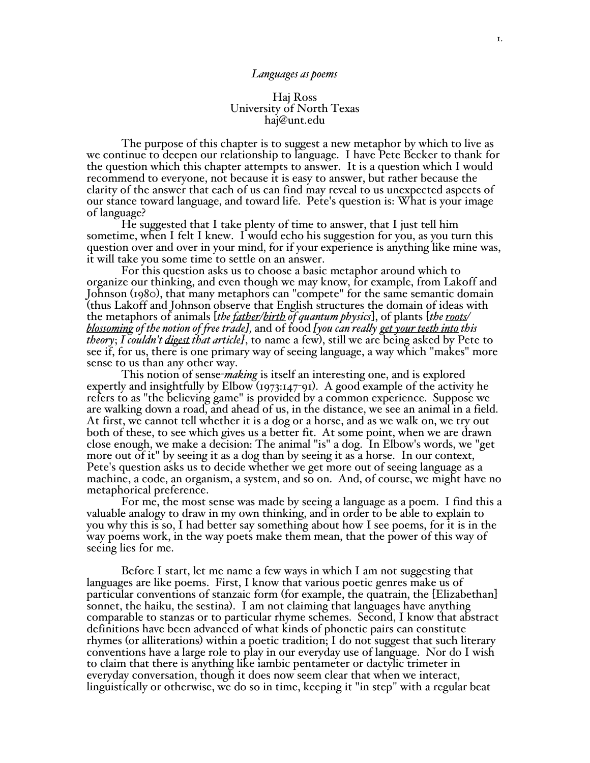#### *Languages as poems*

## Haj Ross University of North Texas haj@unt.edu

The purpose of this chapter is to suggest a new metaphor by which to live as we continue to deepen our relationship to language. I have Pete Becker to thank for the question which this chapter attempts to answer. It is a question which I would recommend to everyone, not because it is easy to answer, but rather because the clarity of the answer that each of us can find may reveal to us unexpected aspects of our stance toward language, and toward life. Pete's question is: What is your image of language?

He suggested that I take plenty of time to answer, that I just tell him sometime, when I felt I knew. I would echo his suggestion for you, as you turn this question over and over in your mind, for if your experience is anything like mine was, it will take you some time to settle on an answer.

For this question asks us to choose a basic metaphor around which to organize our thinking, and even though we may know, for example, from Lakoff and Johnson (1980), that many metaphors can "compete" for the same semantic domain (thus Lakoff and Johnson observe that English structures the domain of ideas with the metaphors of animals [*the father/birth of quantum physics*], of plants [*the roots/ blossoming of the notion of free trade],* and of food *[you can really get your teeth into this theory*; *I couldn't digest that article]*, to name a few), still we are being asked by Pete to see if, for us, there is one primary way of seeing language, a way which "makes" more sense to us than any other way.

This notion of sense-*making* is itself an interesting one, and is explored expertly and insightfully by Elbow (1973:147-91). A good example of the activity he refers to as "the believing game" is provided by a common experience. Suppose we are walking down a road, and ahead of us, in the distance, we see an animal in a field. At first, we cannot tell whether it is a dog or a horse, and as we walk on, we try out both of these, to see which gives us a better fit. At some point, when we are drawn close enough, we make a decision: The animal "is" a dog. In Elbow's words, we "get more out of it" by seeing it as a dog than by seeing it as a horse. In our context, Pete's question asks us to decide whether we get more out of seeing language as a machine, a code, an organism, a system, and so on. And, of course, we might have no metaphorical preference.

For me, the most sense was made by seeing a language as a poem. I find this a valuable analogy to draw in my own thinking, and in order to be able to explain to you why this is so, I had better say something about how I see poems, for it is in the way poems work, in the way poets make them mean, that the power of this way of seeing lies for me.

Before I start, let me name a few ways in which I am not suggesting that languages are like poems. First, I know that various poetic genres make us of particular conventions of stanzaic form (for example, the quatrain, the [Elizabethan] sonnet, the haiku, the sestina). I am not claiming that languages have anything comparable to stanzas or to particular rhyme schemes. Second, I know that abstract definitions have been advanced of what kinds of phonetic pairs can constitute rhymes (or alliterations) within a poetic tradition; I do not suggest that such literary conventions have a large role to play in our everyday use of language. Nor do I wish to claim that there is anything like iambic pentameter or dactylic trimeter in everyday conversation, though it does now seem clear that when we interact, linguistically or otherwise, we do so in time, keeping it "in step" with a regular beat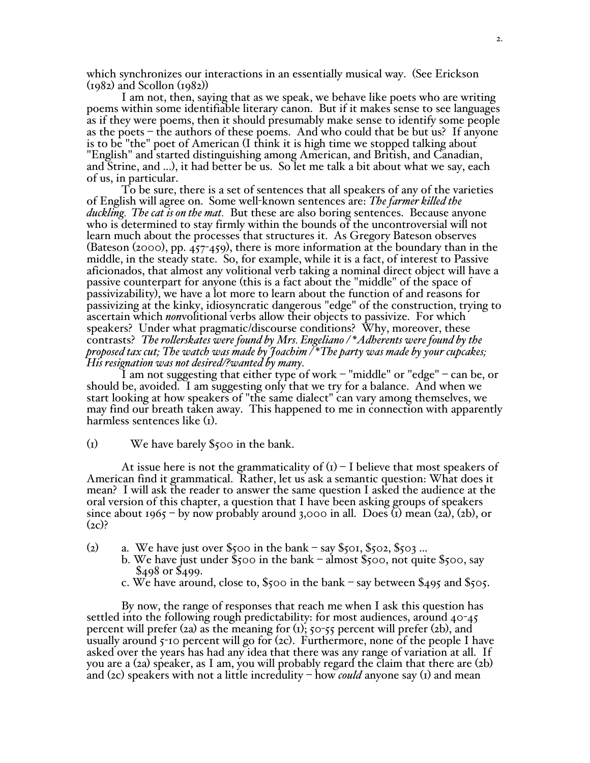which synchronizes our interactions in an essentially musical way. (See Erickson (1982) and Scollon (1982))

I am not, then, saying that as we speak, we behave like poets who are writing poems within some identifiable literary canon. But if it makes sense to see languages as if they were poems, then it should presumably make sense to identify some people as the poets – the authors of these poems. And who could that be but us? If anyone is to be "the" poet of American (I think it is high time we stopped talking about "English" and started distinguishing among American, and British, and Canadian, and Strine, and ...), it had better be us. So let me talk a bit about what we say, each of us, in particular.

To be sure, there is a set of sentences that all speakers of any of the varieties of English will agree on. Some well-known sentences are: *The farmer killed the duckling. The cat is on the mat.* But these are also boring sentences. Because anyone who is determined to stay firmly within the bounds of the uncontroversial will not learn much about the processes that structures it. As Gregory Bateson observes (Bateson (2000), pp. 457-459), there is more information at the boundary than in the middle, in the steady state. So, for example, while it is a fact, of interest to Passive aficionados, that almost any volitional verb taking a nominal direct object will have a passive counterpart for anyone (this is a fact about the "middle" of the space of passivizability), we have a lot more to learn about the function of and reasons for passivizing at the kinky, idiosyncratic dangerous "edge" of the construction, trying to ascertain which *non*volitional verbs allow their objects to passivize. For which speakers? Under what pragmatic/discourse conditions? Why, moreover, these contrasts? *The rollerskates were found by Mrs. Engeliano / \*Adherents were found by the proposed tax cut; The watch was made by Joachim / \*The party was made by your cupcakes; His resignation was not desired/?wanted by many.*

I am not suggesting that either type of work – "middle" or "edge" – can be, or should be, avoided. I am suggesting only that we try for a balance. And when we start looking at how speakers of "the same dialect" can vary among themselves, we may find our breath taken away. This happened to me in connection with apparently harmless sentences like (1).

## (1) We have barely \$500 in the bank.

At issue here is not the grammaticality of  $(i)$  – I believe that most speakers of American find it grammatical. Rather, let us ask a semantic question: What does it mean? I will ask the reader to answer the same question I asked the audience at the oral version of this chapter, a question that I have been asking groups of speakers since about 1965 – by now probably around 3,000 in all. Does (1) mean (2a), (2b), or  $(2c)?$ 

- 
- (2) a. We have just over  $\frac{5}{5}$ 00 in the bank say  $\frac{5}{5}$ 01,  $\frac{5}{5}$ 02,  $\frac{5}{5}$ 03 ...<br>b. We have just under  $\frac{5}{5}$ 00 in the bank almost  $\frac{5}{5}$ 00, not quite  $\frac{5}{5}$ 00, say<br> $\frac{5}{4}$ 98 or  $\frac{5}{4}$ 99.<br>c
	-

By now, the range of responses that reach me when I ask this question has settled into the following rough predictability: for most audiences, around 40-45 percent will prefer (2a) as the meaning for  $(i)$ ;  $\zeta$  0- $\zeta$  percent will prefer (2b), and usually around  $\zeta$ -10 percent will go for (2c). Furthermore, none of the people I have asked over the years has had any idea that there was any range of variation at all. If you are a (2a) speaker, as I am, you will probably regard the claim that there are (2b) and (2c) speakers with not a little incredulity – how *could* anyone say (1) and mean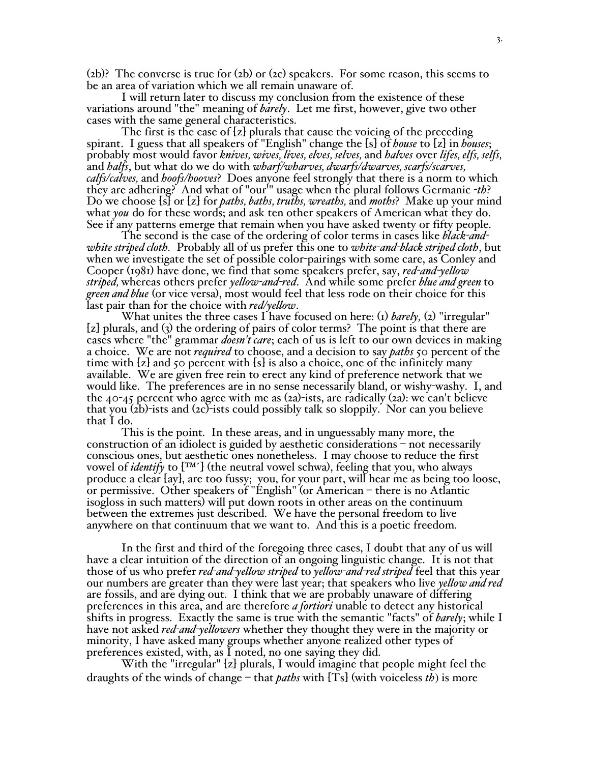(2b)? The converse is true for (2b) or (2c) speakers. For some reason, this seems to be an area of variation which we all remain unaware of.

I will return later to discuss my conclusion from the existence of these variations around "the" meaning of *barely*. Let me first, however, give two other cases with the same general characteristics.

The first is the case of [z] plurals that cause the voicing of the preceding spirant. I guess that all speakers of "English" change the [s] of *house* to [z] in *houses*; probably most would favor *knives, wives, lives, elves, selves,* and *halves* over *lifes, elfs, selfs,* and *halfs*, but what do we do with *wharf/wharves, dwarfs/dwarves, scarfs/scarves, calfs/calves,* and *hoofs/hooves*? Does anyone feel strongly that there is a norm to which they are adhering? And what of "our'" usage when the plural follows Germanic -*th*? Do we choose [s] or [z] for *paths, baths, truths, wreaths,* and *moths*? Make up your mind what *you* do for these words; and ask ten other speakers of American what they do. See if any patterns emerge that remain when you have asked twenty or fifty people.

The second is the case of the ordering of color terms in cases like *black-andwhite striped cloth.* Probably all of us prefer this one to *white-and-black striped cloth*, but when we investigate the set of possible color-pairings with some care, as Conley and Cooper (1981) have done, we find that some speakers prefer, say, *red-and-yellow striped,* whereas others prefer *yellow-and-red*. And while some prefer *blue and green* to *green and blue* (or vice versa), most would feel that less rode on their choice for this last pair than for the choice with *red/yellow*.

What unites the three cases I have focused on here: (1) *barely*, (2) "irregular" [z] plurals, and (3) the ordering of pairs of color terms? The point is that there are cases where "the" grammar *doesn't care*; each of us is left to our own devices in making a choice. We are not *required* to choose, and a decision to say *paths* 50 percent of the time with  $[z]$  and 50 percent with  $[s]$  is also a choice, one of the infinitely many available. We are given free rein to erect any kind of preference network that we would like. The preferences are in no sense necessarily bland, or wishy-washy. I, and the  $40-45$  percent who agree with me as  $(2a)$ -ists, are radically  $(2a)$ : we can't believe that you (2b)-ists and (2c)-ists could possibly talk so sloppily. Nor can you believe that I do.

This is the point. In these areas, and in unguessably many more, the construction of an idiolect is guided by aesthetic considerations – not necessarily conscious ones, but aesthetic ones nonetheless. I may choose to reduce the first vowel of *identify* to [<sup>TM'</sup>] (the neutral vowel schwa), feeling that you, who always produce a clear [ay], are too fussy; you, for your part, will hear me as being too loose, or permissive. Other speakers of "English" (or American – there is no Atlantic isogloss in such matters) will put down roots in other areas on the continuum between the extremes just described. We have the personal freedom to live anywhere on that continuum that we want to. And this is a poetic freedom.

In the first and third of the foregoing three cases, I doubt that any of us will have a clear intuition of the direction of an ongoing linguistic change. It is not that those of us who prefer *red-and-yellow striped* to *yellow-and-red striped* feel that this year our numbers are greater than they were last year; that speakers who live *yellow and red* are fossils, and are dying out. I think that we are probably unaware of differing preferences in this area, and are therefore *a fortiori* unable to detect any historical shifts in progress. Exactly the same is true with the semantic "facts" of *barely*; while I have not asked *red-and-yellowers* whether they thought they were in the majority or minority, I have asked many groups whether anyone realized other types of preferences existed, with, as I noted, no one saying they did.

With the "irregular" [z] plurals, I would imagine that people might feel the draughts of the winds of change – that *paths* with [Ts] (with voiceless *th*) is more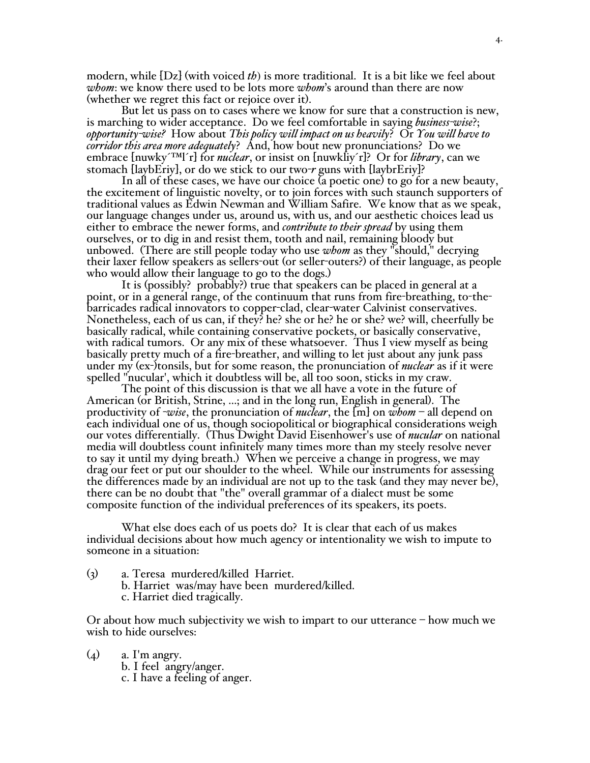modern, while [Dz] (with voiced *th*) is more traditional. It is a bit like we feel about *whom*: we know there used to be lots more *whom*'s around than there are now (whether we regret this fact or rejoice over it).

But let us pass on to cases where we know for sure that a construction is new, is marching to wider acceptance. Do we feel comfortable in saying *business-wise*?; *opportunity-wise?* How about *This policy will impact on us heavily*? Or *You will have to corridor this area more adequately*? And, how bout new pronunciations? Do we embrace [nuwky´™l´r] for *nuclear*, or insist on [nuwkliy´r]? Or for *library*, can we stomach [laybEriy], or do we stick to our two-*r* guns with [laybrEriy]?

In all of these cases, we have our choice (a poetic one) to go for a new beauty, the excitement of linguistic novelty, or to join forces with such staunch supporters of traditional values as Edwin Newman and William Safire. We know that as we speak, our language changes under us, around us, with us, and our aesthetic choices lead us either to embrace the newer forms, and *contribute to their spread* by using them ourselves, or to dig in and resist them, tooth and nail, remaining bloody but unbowed. (There are still people today who use *whom* as they "should," decrying their laxer fellow speakers as sellers-out (or seller-outers?) of their language, as people who would allow their language to go to the dogs.)

It is (possibly? probably?) true that speakers can be placed in general at a point, or in a general range, of the continuum that runs from fire-breathing, to-thebarricades radical innovators to copper-clad, clear-water Calvinist conservatives.<br>Nonetheless, each of us can, if they? he? she or he? he or she? we? will, cheerfully be<br>basically radical, while containing conservative po with radical tumors. Or any mix of these whatsoever. Thus I view myself as being<br>basically pretty much of a fire-breather, and willing to let just about any junk pass under my (ex-)tonsils, but for some reason, the pronunciation of *nuclear* as if it were spelled "nucular', which it doubtless will be, all too soon, sticks in my craw. The point of this discussion is that we all have <sup>a</sup> vote in the future of

American (or British, Strine, ...; and in the long run, English in general). The productivity of -*wise*, the pronunciation of *nuclear*, the [m] on *whom* – all depend on each individual one of us, though sociopolitical or biographical considerations weigh our votes differentially. (Thus Dwight David Eisenhower's use of *nucular* on national media will doubtless count infinitely many times more than my steely resolve never to say it until my dying breath.) When we perceive a change in progress, we may drag our feet or put our shoulder to the wheel. While our instruments for assessing the differences made by an individual are not up to the task (and they may never be), there can be no doubt that "the" overall grammar of a dialect must be some composite function of the individual preferences of its speakers, its poets.

What else does each of us poets do? It is clear that each of us makes individual decisions about how much agency or intentionality we wish to impute to someone in a situation:

(3) a. Teresa murdered/killed Harriet. b. Harriet was/may have been murdered/killed. c. Harriet died tragically.

Or about how much subjectivity we wish to impart to our utterance – how much we wish to hide ourselves:

(4) a. I'm angry.<br>b. I feel angry/anger.

c. I have a feeling of anger.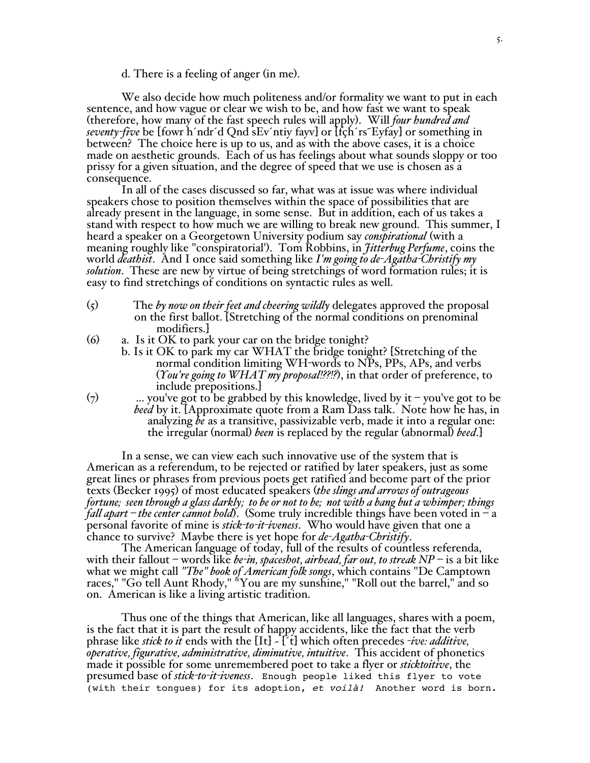d. There is a feeling of anger (in me).

We also decide how much politeness and/or formality we want to put in each sentence, and how vague or clear we wish to be, and how fast we want to speak (therefore, how many of the fast speech rules will apply). Will *four hundred and seventy-five* be [fowr h´ndr´d Qnd sEv´ntiy fayv] or [fçh´rs˜Eyfay] or something in between? The choice here is up to us, and as with the above cases, it is a choice made on aesthetic grounds. Each of us has feelings about what sounds sloppy or too prissy for a given situation, and the degree of speed that we use is chosen as a consequence.

In all of the cases discussed so far, what was at issue was where individual speakers chose to position themselves within the space of possibilities that are already present in the language, in some sense. But in addition, each of us takes a stand with respect to how much we are willing to break new ground. This summer, I heard a speaker on a Georgetown University podium say *conspirational* (with a meaning roughly like "conspiratorial'). Tom Robbins, in *Jitterbug Perfume*, coins the world *deathist*. And I once said something like *I'm going to de-Agatha-Christify my solution*. These are new by virtue of being stretchings of word formation rules; it is easy to find stretchings of conditions on syntactic rules as well.

- (5) The *by now on their feet and cheering wildly* delegates approved the proposal on the first ballot. [Stretching of the normal conditions on prenominal modifiers.]
- (6) a. Is it OK to park your car on the bridge tonight?
	- b. Is it OK to park my car WHAT the bridge tonight? [Stretching of the normal condition limiting WH-words to NPs, PPs, APs, and verbs (*You're going to WHAT my proposal!??!?*), in that order of preference, to include prepositions.]
- $(7)$  ... you've got to be grabbed by this knowledge, lived by it you've got to be *beed* by it. [Approximate quote from a Ram Dass talk. Note how he has, in analyzing *be* as a transitive, passivizable verb, made it into a regular one: the irregular (normal) *been* is replaced by the regular (abnormal) *beed*.]

In a sense, we can view each such innovative use of the system that is American as a referendum, to be rejected or ratified by later speakers, just as some great lines or phrases from previous poets get ratified and become part of the prior texts (Becker 1995) of most educated speakers (*the slings and arrows of outrageous* fortune; seen through a glass darkly; to be or not to be; not with a bang but a whimper; things *fall apart – the center cannot hold*). (Some truly incredible things have been voted in – a personal favorite of mine is *stick-to-it-iveness*. Who would have given that one a chance to survive? Maybe there is yet hope for *de-Agatha-Christify*.

The American language of today, full of the results of countless referenda, with their fallout – words like *be-in, spaceshot, airhead, far out, to streak NP* – is a bit like what we might call *"The" book of American folk songs*, which contains "De Camptown races," "Go tell Aunt Rhody," "You are my sunshine," "Roll out the barrel," and so on. American is like a living artistic tradition.

Thus one of the things that American, like all languages, shares with a poem, is the fact that it is part the result of happy accidents, like the fact that the verb phrase like *stick to it* ends with the [It] ~ [´t] which often precedes -*ive: additive, operative, figurative, administrative, diminutive, intuitive*. This accident of phonetics made it possible for some unremembered poet to take a flyer or *sticktoitive*, the presumed base of *stick-to-it-iveness*. Enough people liked this flyer to vote (with their tongues) for its adoption, et voilà! Another word is born.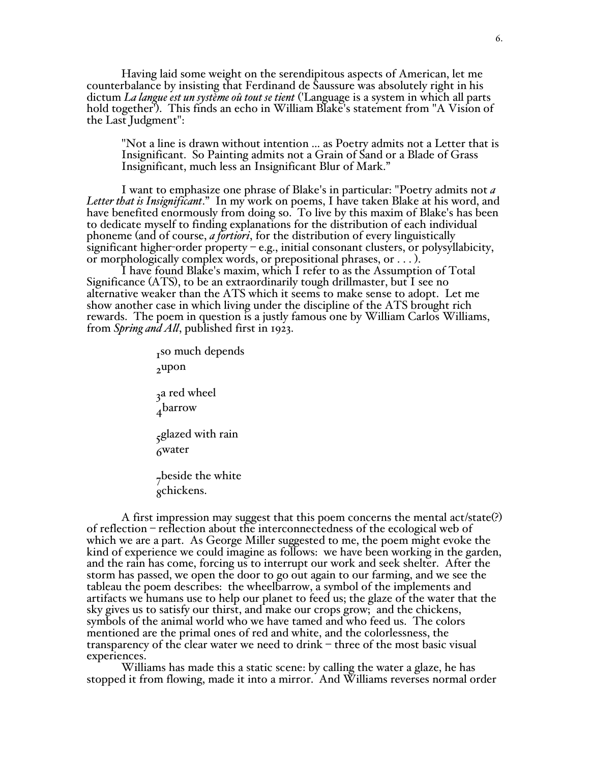Having laid some weight on the serendipitous aspects of American, let me counterbalance by insisting that Ferdinand de Saussure was absolutely right in his dictum *La langue est un système oû tout se tient* ('Language is a system in which all parts hold together'). This finds an echo in William Blake's statement from "A Vision of the Last Judgment":

"Not a line is drawn without intention ... as Poetry admits not a Letter that is Insignificant. So Painting admits not a Grain of Sand or a Blade of Grass Insignificant, much less an Insignificant Blur of Mark."

I want to emphasize one phrase of Blake's in particular: "Poetry admits not *a Letter that is Insignificant*." In my work on poems, I have taken Blake at his word, and have benefited enormously from doing so. To live by this maxim of Blake's has been to dedicate myself to finding explanations for the distribution of each individual phoneme (and of course, *a fortiori*, for the distribution of every linguistically significant higher-order property  $-e.g.,$  initial consonant clusters, or polysyllabicity, or morphologically complex words, or prepositional phrases, or . . . ).

I have found Blake's maxim, which I refer to as the Assumption of Total Significance (ATS), to be an extraordinarily tough drillmaster, but I see no alternative weaker than the ATS which it seems to make sense to adopt. Let me show another case in which living under the discipline of the ATS brought rich rewards. The poem in question is a justly famous one by William Carlos Williams, from *Spring and All*, published first in 1923.

> $<sub>r</sub>$ so much depends</sub> 2upon <sub>3</sub>a red wheel 4barrow 5glazed with rain 6water <sub>7</sub>beside the white 8chickens.

A first impression may suggest that this poem concerns the mental act/state(?) of reflection – reflection about the interconnectedness of the ecological web of which we are a part. As George Miller suggested to me, the poem might evoke the kind of experience we could imagine as follows: we have been working in the garden, and the rain has come, forcing us to interrupt our work and seek shelter. After the storm has passed, we open the door to go out again to our farming, and we see the tableau the poem describes: the wheelbarrow, a symbol of the implements and artifacts we humans use to help our planet to feed us; the glaze of the water that the sky gives us to satisfy our thirst, and make our crops grow; and the chickens, symbols of the animal world who we have tamed and who feed us. The colors mentioned are the primal ones of red and white, and the colorlessness, the transparency of the clear water we need to drink – three of the most basic visual experiences.

Williams has made this a static scene: by calling the water a glaze, he has stopped it from flowing, made it into a mirror. And Williams reverses normal order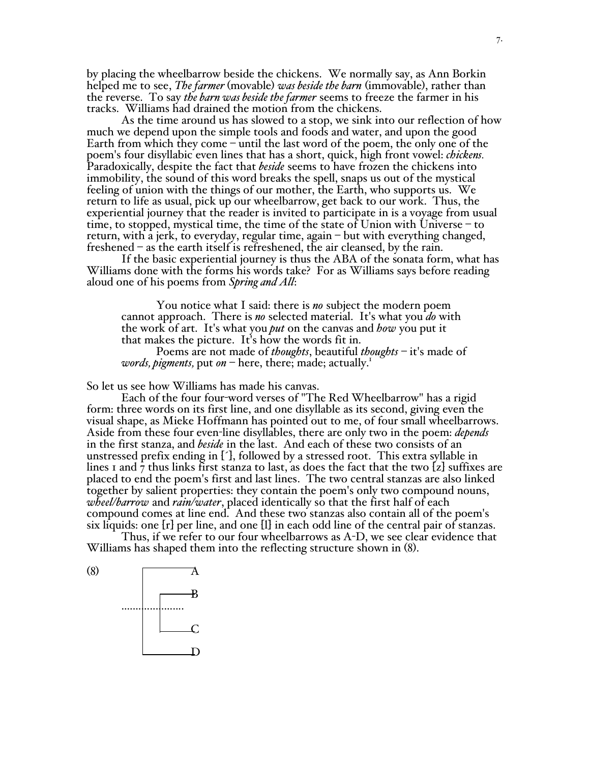by placing the wheelbarrow beside the chickens. We normally say, as Ann Borkin helped me to see, *The farmer* (movable) *was beside the barn* (immovable), rather than the reverse. To say *the barn was beside the farmer* seems to freeze the farmer in his tracks. Williams had drained the motion from the chickens.

As the time around us has slowed to a stop, we sink into our reflection of how much we depend upon the simple tools and foods and water, and upon the good Earth from which they come – until the last word of the poem, the only one of the poem's four disyllabic even lines that has a short, quick, high front vowel: *chickens.* Paradoxically, despite the fact that *beside* seems to have frozen the chickens into immobility, the sound of this word breaks the spell, snaps us out of the mystical feeling of union with the things of our mother, the Earth, who supports us. We return to life as usual, pick up our wheelbarrow, get back to our work. Thus, the experiential journey that the reader is invited to participate in is a voyage from usual time, to stopped, mystical time, the time of the state of Union with Universe – to return, with a jerk, to everyday, regular time, again – but with everything changed, freshened – as the earth itself is refreshened, the air cleansed, by the rain.

If the basic experiential journey is thus the ABA of the sonata form, what has Williams done with the forms his words take? For as Williams says before reading aloud one of his poems from *Spring and All*:

You notice what I said: there is *no* subject the modern poem cannot approach. There is *no* selected material. It's what you *do* with the work of art. It's what you *put* on the canvas and *how* you put it that makes the picture. It's how the words fit in.

Poems are not made of *thoughts*, beautiful *thoughts* – it's made of *words, pigments,* put *on* – here, there; made; actually. 1

So let us see how Williams has made his canvas.

Each of the four four-word verses of "The Red Wheelbarrow" has a rigid form: three words on its first line, and one disyllable as its second, giving even the visual shape, as Mieke Hoffmann has pointed out to me, of four small wheelbarrows. Aside from these four even-line disyllables, there are only two in the poem: *depends* in the first stanza, and *beside* in the last. And each of these two consists of an unstressed prefix ending in [´], followed by a stressed root. This extra syllable in lines 1 and  $\overline{7}$  thus links first stanza to last, as does the fact that the two [z] suffixes are placed to end the poem's first and last lines. The two central stanzas are also linked together by salient properties: they contain the poem'<sup>s</sup> only two compound nouns, *wheel/barrow* and *rain/water*, placed identically so that the first half of each compound comes at line end. And these two stanzas also contain all of the poem's six liquids: one [r] per line, and one [l] in each odd line of the central pair of stanzas.

Thus, if we refer to our four wheelbarrows as A-D, we see clear evidence that Williams has shaped them into the reflecting structure shown in (8).

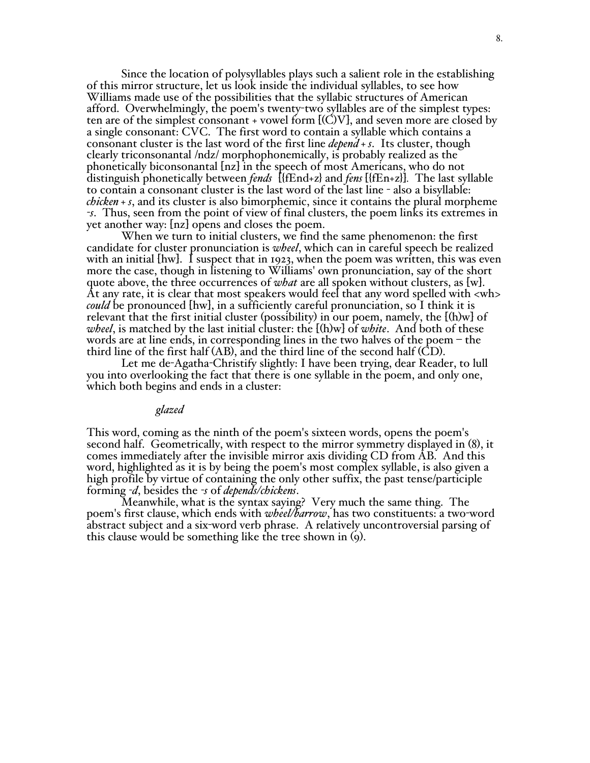Since the location of polysyllables plays such a salient role in the establishing of this mirror structure, let us look inside the individual syllables, to see how Williams made use of the possibilities that the syllabic structures of American afford. Overwhelmingly, the poem's twenty-two syllables are of the simplest types: ten are of the simplest consonant + vowel form [(C)V], and seven more are closed by a single consonant: CVC. The first word to contain a syllable which contains a consonant cluster is the last word of the first line *depend + s*. Its cluster, though clearly triconsonantal /ndz/ morphophonemically, is probably realized as the phonetically biconsonantal [nz] in the speech of most Americans, who do not distinguish phonetically between *fends* [{fEnd+z} and *fens* [{fEn+z}]*.* The last syllable to contain a consonant cluster is the last word of the last line - also a bisyllable: *chicken + s*, and its cluster is also bimorphemic, since it contains the plural morpheme *-s*. Thus, seen from the point of view of final clusters, the poem links its extremes in yet another way: [nz] opens and closes the poem.

When we turn to initial clusters, we find the same phenomenon: the first candidate for cluster pronunciation is *wheel*, which can in careful speech be realized with an initial [hw]. I suspect that in 1923, when the poem was written, this was even more the case, though in listening to Williams' own pronunciation, say of the short quote above, the three occurrences of *what* are all spoken without clusters, as [w].<br>At any rate, it is clear that most speakers would feel that any word spelled with <wh> *could* be pronounced [hw], in a sufficiently careful pronunciation, so I think it is relevant that the first initial cluster (possibility) in our poem, namely, the [(h)w] of *wheel*, is matched by the last initial cluster: the [(h)w] of *white*. And both of these words are at line ends, in corresponding lines in the two halves of the poem – the third line of the first half (AB), and the third line of the second half (CD). Let me de-Agatha-Christify slightly: <sup>I</sup> have been trying, dear Reader, to lull

you into overlooking the fact that there is one syllable in the poem, and only one, which both begins and ends in <sup>a</sup> cluster:

#### *glazed*

This word, coming as the ninth of the poem's sixteen words, opens the poem's second half. Geometrically, with respect to the mirror symmetry displayed in (8), it comes immediately after the invisible mirror axis dividing CD from AB. And this word, highlighted as it is by being the poem's most complex syllable, is also given a high profile by virtue of containing the only other suffix, the past tense/participle forming *-d*, besides the *-<sup>s</sup>* of *depends/chickens*. Meanwhile, what is the syntax saying? Very much the same thing. The

poem's first clause, which ends with *wheel/barrow*, has two constituents: a two-word abstract subject and a six-word verb phrase. A relatively uncontroversial parsing of this clause would be something like the tree shown in (9).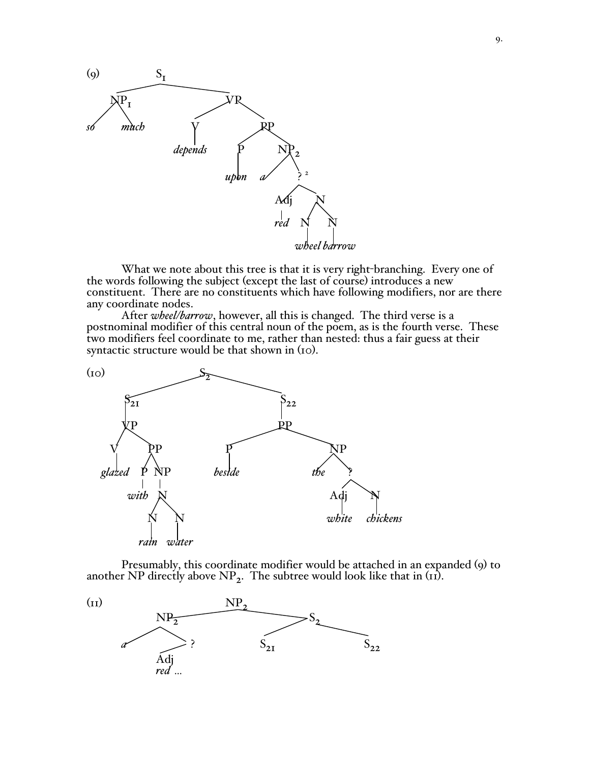

What we note about this tree is that it is very right-branching. Every one of the words following the subject (except the last of course) introduces a new constituent. There are no constituents which have following modifiers, nor are there

After *wheel/barrow*, however, all this is changed. The third verse is a postnominal modifier of this central noun of the poem, as is the fourth verse. These two modifiers feel coordinate to me, rather than nested: thus a fair guess at their syntactic structure would be that shown in (10).



Presumably, this coordinate modifier would be attached in an expanded (9) to another NP directly above  $NP_2$ . The subtree would look like that in (11).

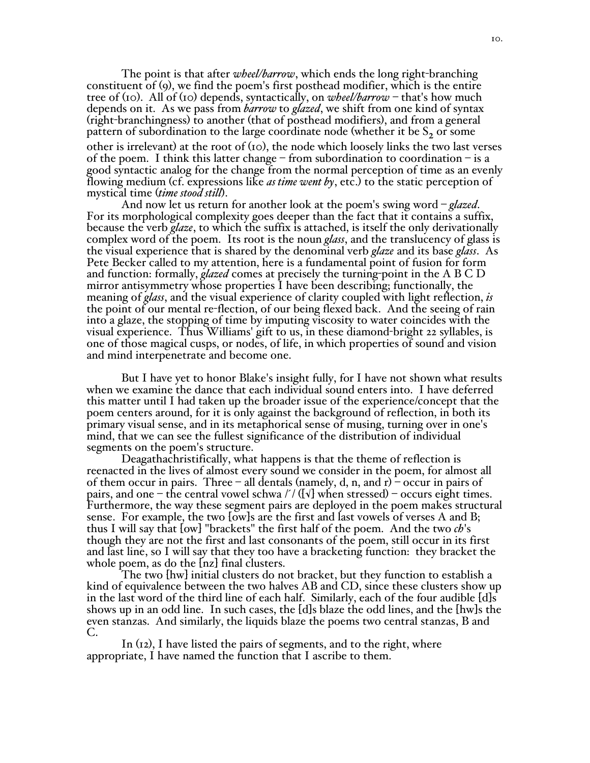The point is that after *wheel/barrow*, which ends the long right-branching constituent of (9), we find the poem's first posthead modifier, which is the entire tree of (10). All of (10) depends, syntactically, on *wheel/barrow* – that's how much depends on it. As we pass from *barrow* to *glazed*, we shift from one kind of syntax (right-branchingness) to another (that of posthead modifiers), and from a general pattern of subordination to the large coordinate node (whether it be  $S<sub>2</sub>$  or some other is irrelevant) at the root of  $(10)$ , the node which loosely links the two last verses of the poem. I think this latter change – from subordination to coordination – is a good syntactic analog for the change from the normal perception of time as an evenly flowing medium (cf. expressions like *as time went by*, etc.) to the static perception of mystical time (*time stood still*).

And now let us return for another look at the poem's swing word – *glazed*. For its morphological complexity goes deeper than the fact that it contains a suffix, because the verb *glaze*, to which the suffix is attached, is itself the only derivationally complex word of the poem. Its root is the noun *glass*, and the translucency of glass is the visual experience that is shared by the denominal verb *glaze* and its base *glass*. As Pete Becker called to my attention, here is a fundamental point of fusion for form and function: formally, *glazed* comes at precisely the turning-point in the A B C D mirror antisymmetry whose properties I have been describing; functionally, the meaning of *glass*, and the visual experience of clarity coupled with light reflection, *is* the point of our mental re-flection, of our being flexed back. And the seeing of rain into a glaze, the stopping of time by imputing viscosity to water coincides with the visual experience. Thus Williams' gift to us, in these diamond-bright 22 syllables, is one of those magical cusps, or nodes, of life, in which properties of sound and vision and mind interpenetrate and become one.

But I have yet to honor Blake's insight fully, for I have not shown what results when we examine the dance that each individual sound enters into. I have deferred this matter until I had taken up the broader issue of the experience/concept that the poem centers around, for it is only against the background of reflection, in both its primary visual sense, and in its metaphorical sense of musing, turning over in one's mind, that we can see the fullest significance of the distribution of individual segments on the poem's structure.

Deagathachristifically, what happens is that the theme of reflection is reenacted in the lives of almost every sound we consider in the poem, for almost all of them occur in pairs. Three – all dentals (namely, d, n, and r) – occur in pairs of pairs, and one – the central vowel schwa  $\frac{1}{\sqrt{\frac{v}{\sqrt{\nu}}}$  when stressed) – occurs eight times. Furthermore, the way these segment pairs are deployed in the poem makes structural sense. For example, the two [ow]s are the first and last vowels of verses A and B; thus I will say that [ow] "brackets" the first half of the poem. And the two *ch*'s though they are not the first and last consonants of the poem, still occur in its first and last line, so I will say that they too have a bracketing function: they bracket the whole poem, as do the  $\lfloor nz \rfloor$  final clusters.

The two [hw] initial clusters do not bracket, but they function to establish a kind of equivalence between the two halves AB and CD, since these clusters show up in the last word of the third line of each half. Similarly, each of the four audible [d]s shows up in an odd line. In such cases, the [d]s blaze the odd lines, and the [hw]s the even stanzas. And similarly, the liquids blaze the poems two central stanzas, B and C.

In (12), I have listed the pairs of segments, and to the right, where appropriate, I have named the function that I ascribe to them.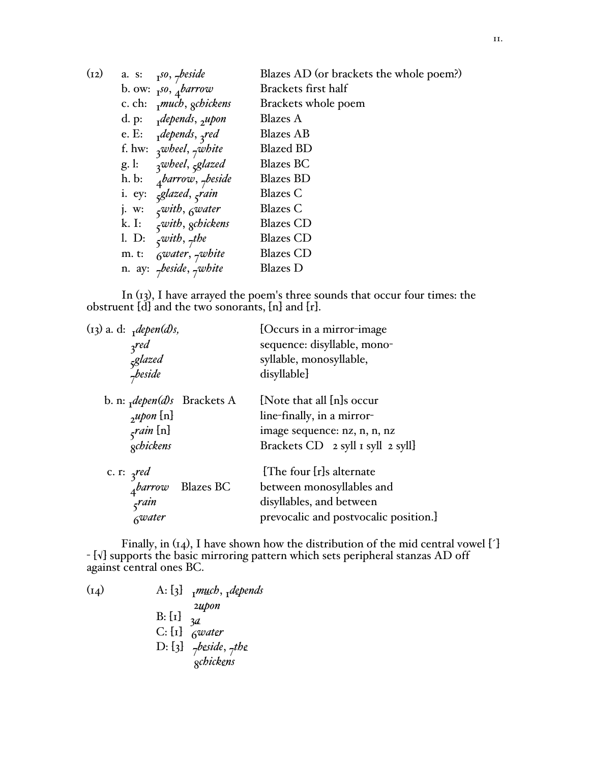| (12) | a. s: $I^{so}$ , $\gamma$ beside                         | Blazes AD (or brackets the whole poem?) |
|------|----------------------------------------------------------|-----------------------------------------|
|      | b. ow: $I^{so}$ , $\phi$ <i>arrow</i>                    | Brackets first half                     |
|      | c. ch: $mucb$ , gchickens                                | Brackets whole poem                     |
|      | d. p: $depends, \rho$                                    | <b>Blazes</b> A                         |
|      | e. E: $_1$ depends, $_3$ red                             | <b>Blazes</b> AB                        |
|      | f. hw: $\frac{1}{3}$ wheel, $\frac{1}{7}$ white          | <b>Blazed BD</b>                        |
|      | g. l: $\alpha$ <sup>wheel</sup> , $\beta$ <i>splazed</i> | <b>Blazes BC</b>                        |
|      | h. b: $4 \text{barrow}, 7 \text{beside}$                 | <b>Blazes BD</b>                        |
|      | i. ey: <sub>5</sub> glazed, <sub>5</sub> rain            | Blazes C                                |
|      | j. w: $\zeta$ with, $\zeta$ water                        | <b>Blazes</b> C                         |
|      | k. I: $\zeta$ with, gchickens                            | <b>Blazes</b> CD                        |
|      | 1. D: $\zeta$ with, $\zeta$ the                          | <b>Blazes</b> CD                        |
|      | m. t: $6water, 7wbite$                                   | <b>Blazes</b> CD                        |
|      | n. ay: $\tau$ beside, $\tau$ white                       | <b>Blazes</b> D                         |
|      |                                                          |                                         |

In (13), I have arrayed the poem's three sounds that occur four times: the obstruent [d] and the two sonorants, [n] and [r].

| (13) a. d: $depen(d)s$ ,<br>3 <sub>red</sub><br>5<br>5glazed<br>7beside |                                       | [Occurs in a mirror-image]<br>sequence: disyllable, mono-<br>syllable, monosyllable,<br>disyllable]                          |
|-------------------------------------------------------------------------|---------------------------------------|------------------------------------------------------------------------------------------------------------------------------|
| $\mu$ pon [n]<br>$\zeta$ rain [n]<br>gchickens                          | b. n: $depen(d)s$ Brackets A          | [Note that all [n]s occur<br>line-finally, in a mirror-<br>image sequence: nz, n, n, nz<br>Brackets CD 2 syll 1 syll 2 syll] |
| c. r: $\int$ red<br>$\int$ rain<br>Gwater                               | $\frac{1}{4}$ <i>barrow</i> Blazes BC | [The four [r]s alternate<br>between monosyllables and<br>disyllables, and between<br>prevocalic and postvocalic position.]   |

Finally, in (14), I have shown how the distribution of the mid central vowel [´] - [√] supports the basic mirroring pattern which sets peripheral stanzas AD off against central ones BC.

| A: $\{3\}$ $\mathbb{R}$ <i>much</i> , $\mathbb{R}$ <i>depends</i>                              |
|------------------------------------------------------------------------------------------------|
| $2\mu$ <i>pon</i><br>B: $\begin{bmatrix} 1 \end{bmatrix}$ 3 <i>d</i><br>$C: [1]$ <i>Gwater</i> |
| D: [3] $\tau$ <i>beside</i> , $\tau$ <i>the</i><br><i><u>schickens</u></i>                     |
|                                                                                                |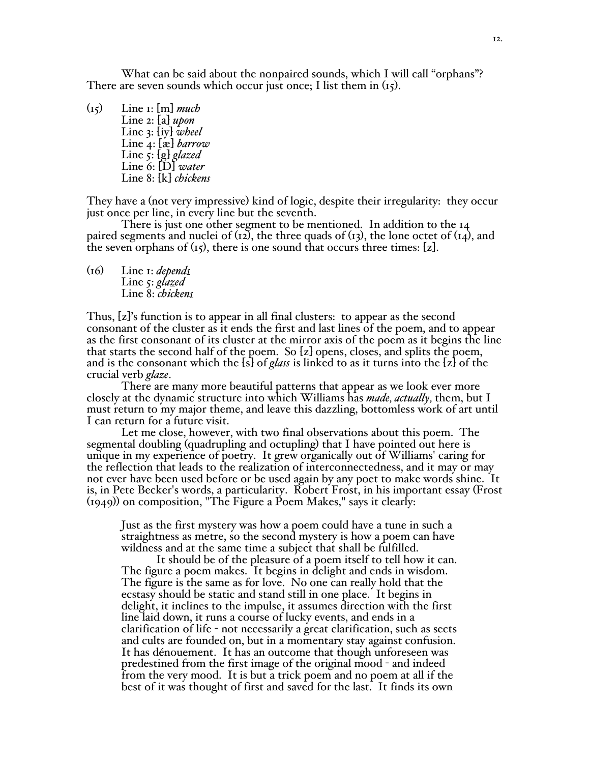What can be said about the nonpaired sounds, which I will call "orphans"? There are seven sounds which occur just once; I list them in (15).

(15) Line 1: [m] *much* Line 2: [a] *upon* Line 3: [iy] *wheel* Line 4: [æ] *barrow* Line 5: [g] *glazed* Line 6: [D] *water* Line 8: [k] *chickens*

They have a (not very impressive) kind of logic, despite their irregularity: they occur just once per line, in every line but the seventh.

There is just one other segment to be mentioned. In addition to the 14 paired segments and nuclei of  $(12)$ , the three quads of  $(13)$ , the lone octet of  $(14)$ , and the seven orphans of  $(t<sub>5</sub>)$ , there is one sound that occurs three times: [z].

(16) Line 1: *depends* Line 5: *glazed* Line 8: *chickens*

Thus, [z]'s function is to appear in all final clusters: to appear as the second consonant of the cluster as it ends the first and last lines of the poem, and to appear as the first consonant of its cluster at the mirror axis of the poem as it begins the line that starts the second half of the poem. So [z] opens, closes, and splits the poem, and is the consonant which the [s] of *glass* is linked to as it turns into the [z] of the crucial verb *glaze*.

There are many more beautiful patterns that appear as we look ever more closely at the dynamic structure into which Williams has *made, actually,* them, but I must return to my major theme, and leave this dazzling, bottomless work of art until I can return for a future visit.

Let me close, however, with two final observations about this poem. The segmental doubling (quadrupling and octupling) that I have pointed out here is unique in my experience of poetry. It grew organically out of Williams' caring for the reflection that leads to the realization of interconnectedness, and it may or may not ever have been used before or be used again by any poet to make words shine. It is, in Pete Becker's words, a particularity. Robert Frost, in his important essay (Frost (1949)) on composition, "The Figure a Poem Makes," says it clearly:

Just as the first mystery was how a poem could have a tune in such a straightness as metre, so the second mystery is how a poem can have

It should be of the pleasure of a poem itself to tell how it can.<br>The figure a poem makes. It begins in delight and ends in wisdom.<br>The figure is the same as for love. No one can really hold that the ecstasy should be static and stand still in one place. It begins in delight, it inclines to the impulse, it assumes direction with the first line laid down, it runs a course of lucky events, and ends in a clarification of life - not necessarily a great clarification, such as sects and cults are founded on, but in a momentary stay against confusion. It has dénouement. It has an outcome that though unforeseen was predestined from the first image of the original mood - and indeed from the very mood. It is but a trick poem and no poem at all if the best of it was thought of first and saved for the last. It finds its own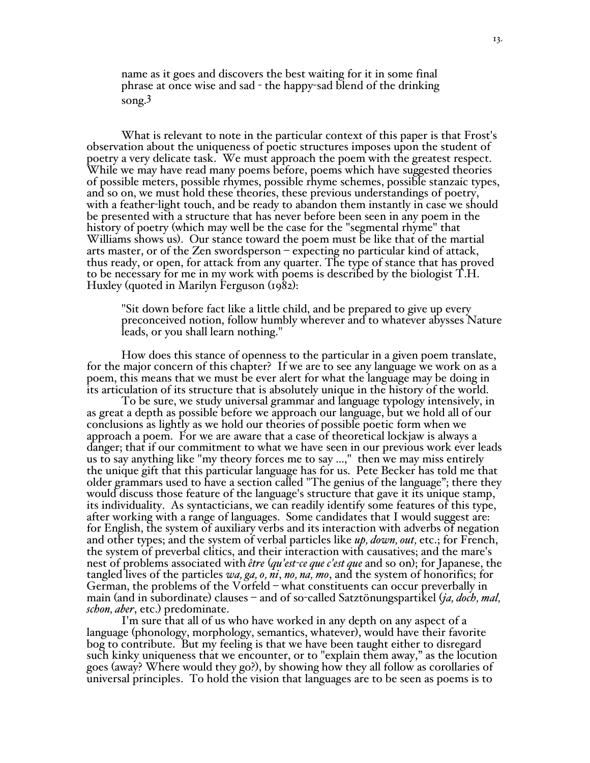name as it goes and discovers the best waiting for it in some final phrase at once wise and sad - the happy-sad blend of the drinking song. 3

What is relevant to note in the particular context of this paper is that Frost's observation about the uniqueness of poetic structures imposes upon the student of poetry a very delicate task. We must approach the poem with the greatest respect. While we may have read many poems before, poems which have suggested theories of possible meters, possible rhymes, possible rhyme schemes, possible stanzaic types, and so on, we must hold these theories, these previous understandings of poetry, with a feather-light touch, and be ready to abandon them instantly in case we should be presented with a structure that has never before been seen in any poem in the history of poetry (which may well be the case for the "segmental rhyme" that Williams shows us). Our stance toward the poem must be like that of the martial arts master, or of the Zen swordsperson – expecting no particular kind of attack, thus ready, or open, for attack from any quarter. The type of stance that has proved to be necessary for me in my work with poems is described by the biologist T.H. Huxley (quoted in Marilyn Ferguson (1982):

"Sit down before fact like a little child, and be prepared to give up every preconceived notion, follow humbly wherever and to whatever abysses Nature leads, or you shall learn nothing."

How does this stance of openness to the particular in <sup>a</sup> given poem translate, for the major concern of this chapter? If we are to see any language we work on as <sup>a</sup> poem, this means that we must be ever alert for what the language may be doing in its articulation of its structure that is absolutely unique in the history of the world.

To be sure, we study universal grammar and language typology intensively, in as great a depth as possible before we approach our language, but we hold all of our conclusions as lightly as we hold our theories of possible poetic form when we approach a poem. For we are aware that a case of theoretical lockjaw is always a danger; that if our commitment to what we have seen in our previous work ever leads us to say anything like "my theory forces me to say ...," then we may miss entirely the unique gift that this particular language has for us. Pete Becker has told me that older grammars used to have a section called "The genius of the language"; there they would discuss those feature of the language's structure that gave it its unique stamp, its individuality. As syntacticians, we can readily identify some features of this type, after working with a range of languages. Some candidates that I would suggest are: for English, the system of auxiliary verbs and its interaction with adverbs of negation and other types; and the system of verbal particles like *up, down, out,* etc.; for French, the system of preverbal clitics, and their interaction with causatives; and the mare'<sup>s</sup> nest of problems associated with *être* (*qu'est-ce que c'est que* and so on); for Japanese, the tangled lives of the particles *wa, ga, o, ni*, *no, na, mo*, and the system of honorifics; for German, the problems of the Vorfeld – what constituents can occur preverbally in main (and in subordinate) clauses – and of so-called Satztönungspartikel (*ja*, *doch*, *mal*, *schon*, *aber*, etc.) predominate.<br>I'm sure that all of us who have worked in any depth on any aspect of a

language (phonology, morphology, semantics, whatever), would have their favorite bog to contribute. But my feeling is that we have been taught either to disregard such kinky uniqueness that we encounter, or to "explain them away," as the locution goes (away? Where would they go?), by showing how they all follow as corollaries of universal principles. To hold the vision that languages are to be seen as poems is to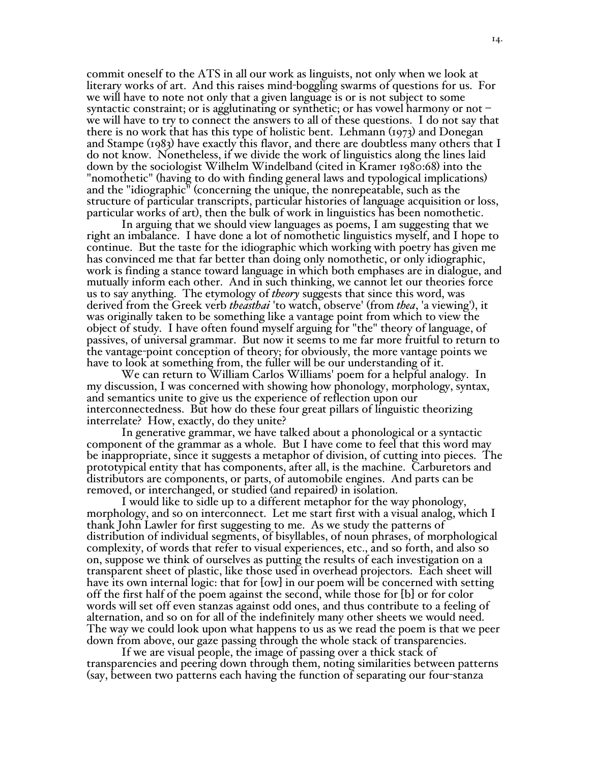commit oneself to the ATS in all our work as linguists, not only when we look at literary works of art. And this raises mind-boggling swarms of questions for us. For we will have to note not only that a given language is or is not subject to some syntactic constraint; or is agglutinating or synthetic; or has vowel harmony or not – we will have to try to connect the answers to all of these questions. I do not say that there is no work that has this type of holistic bent. Lehmann (1973) and Donegan and Stampe (1983) have exactly this flavor, and there are doubtless many others that I do not know. Nonetheless, if we divide the work of linguistics along the lines laid down by the sociologist Wilhelm Windelband (cited in Kramer 1980:68) into the "nomothetic" (having to do with finding general laws and typological implications) and the "idiographic" (concerning the unique, the nonrepeatable, such as the structure of particular transcripts, particular histories of language acquisition or loss, particular works of art), then the bulk of work in linguistics has been nomothetic.

In arguing that we should view languages as poems, I am suggesting that we right an imbalance. I have done a lot of nomothetic linguistics myself, and I hope to continue. But the taste for the idiographic which working with poetry has given me has convinced me that far better than doing only nomothetic, or only idiographic, work is finding a stance toward language in which both emphases are in dialogue, and mutually inform each other. And in such thinking, we cannot let our theories force us to say anything. The etymology of *theory* suggests that since this word, was derived from the Greek verb *theasthai* 'to watch, observe' (from *thea*, 'a viewing'), it was originally taken to be something like a vantage point from which to view the object of study. I have often found myself arguing for "the" theory of language, of passives, of universal grammar. But now it seems to me far more fruitful to return to the vantage-point conception of theory; for obviously, the more vantage points we have to look at something from, the fuller will be our understanding of it.

We can return to William Carlos Williams' poem for a helpful analogy. In my discussion, I was concerned with showing how phonology, morphology, syntax, and semantics unite to give us the experience of reflection upon our interconnectedness. But how do these four great pillars of linguistic theorizing interrelate? How, exactly, do they unite?

In generative grammar, we have talked about a phonological or a syntactic component of the grammar as a whole. But I have come to feel that this word may be inappropriate, since it suggests a metaphor of division, of cutting into pieces. The prototypical entity that has components, after all, is the machine. Carburetors and distributors are components, or parts, of automobile engines. And parts can be removed, or interchanged, or studied (and repaired) in isolation.

<sup>I</sup> would like to sidle up to <sup>a</sup> different metaphor for the way phonology, morphology, and so on interconnect. Let me start first with <sup>a</sup> visual analog, which <sup>I</sup> thank John Lawler for first suggesting to me. As we study the patterns of distribution of individual segments, of bisyllables, of noun phrases, of morphological complexity, of words that refer to visual experiences, etc., and so forth, and also so on, suppose we think of ourselves as putting the results of each investigation on a transparent sheet of plastic, like those used in overhead projectors. Each sheet will have its own internal logic: that for [ow] in our poem will be concerned with setting off the first half of the poem against the second, while those for [b] or for color words will set off even stanzas against odd ones, and thus contribute to a feeling of alternation, and so on for all of the indefinitely many other sheets we would need. The way we could look upon what happens to us as we read the poem is that we peer down from above, our gaze passing through the whole stack of transparencies.

If we are visual people, the image of passing over a thick stack of transparencies and peering down through them, noting similarities between patterns (say, between two patterns each having the function of separating our four-stanza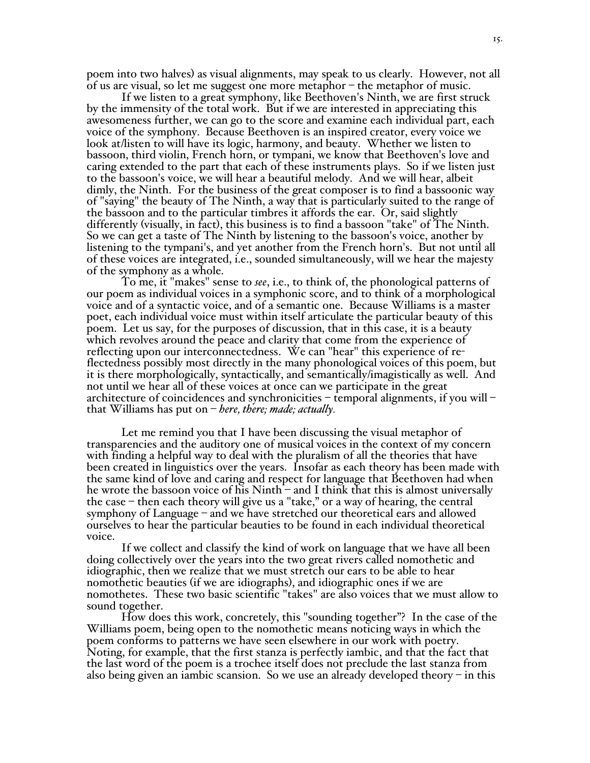poem into two halves) as visual alignments, may speak to us clearly. However, not all of us are visual, so let me suggest one more metaphor – the metaphor of music.

If we listen to a great symphony, like Beethoven's Ninth, we are first struck by the immensity of the total work. But if we are interested in appreciating this awesomeness further, we can go to the score and examine each individual part, each voice of the symphony. Because Beethoven is an inspired creator, every voice we look at/listen to will have its logic, harmony, and beauty. Whether we listen to bassoon, third violin, French horn, or tympani, we know that Beethoven's love and caring extended to the part that each of these instruments plays. So if we listen just to the bassoon's voice, we will hear a beautiful melody. And we will hear, albeit dimly, the Ninth. For the business of the great composer is to find a bassoonic way of "saying" the beauty of The Ninth, a way that is particularly suited to the range of the bassoon and to the particular timbres it affords the ear. Or, said slightly differently (visually, in fact), this business is to find a bassoon "take" of The Ninth. So we can get a taste of The Ninth by listening to the bassoon's voice, another by listening to the tympani's, and yet another from the French horn's. But not until all of these voices are integrated, i.e., sounded simultaneously, will we hear the majesty of the symphony as a whole.

To me, it "makes" sense to *see*, i.e., to think of, the phonological patterns of our poem as individual voices in a symphonic score, and to think of a morphological voice and of a syntactic voice, and of a semantic one. Because Williams is a master poet, each individual voice must within itself articulate the particular beauty of this poem. Let us say, for the purposes of discussion, that in this case, it is a beauty which revolves around the peace and clarity that come from the experience of reflecting upon our interconnectedness. We can "hear" this experience of reflectedness possibly most directly in the many phonological voices of this poem, but it is there morphologically, syntactically, and semantically/imagistically as well. And not until we hear all of these voices at once can we participate in the great architecture of coincidences and synchronicities – temporal alignments, if you will – that Williams has put on – *here, there; made; actually.*

Let me remind you that I have been discussing the visual metaphor of transparencies and the auditory one of musical voices in the context of my concern with finding a helpful way to deal with the pluralism of all the theories that have been created in linguistics over the years. Insofar as each theory has been made with the same kind of love and caring and respect for language that Beethoven had when he wrote the bassoon voice of his Ninth – and I think that this is almost universally the case – then each theory will give us a "take," or a way of hearing, the central symphony of Language – and we have stretched our theoretical ears and allowed ourselves to hear the particular beauties to be found in each individual theoretical voice.

If we collect and classify the kind of work on language that we have all been doing collectively over the years into the two great rivers called nomothetic and idiographic, then we realize that we must stretch our ears to be able to hear nomothetic beauties (if we are idiographs), and idiographic ones if we are nomothetes. These two basic scientific "takes" are also voices that we must allow to sound together.

How does this work, concretely, this "sounding together"? In the case of the Williams poem, being open to the nomothetic means noticing ways in which the poem conforms to patterns we have seen elsewhere in our work with poetry. Noting, for example, that the first stanza is perfectly iambic, and that the fact that the last word of the poem is a trochee itself does not preclude the last stanza from also being given an iambic scansion. So we use an already developed theory  $-$  in this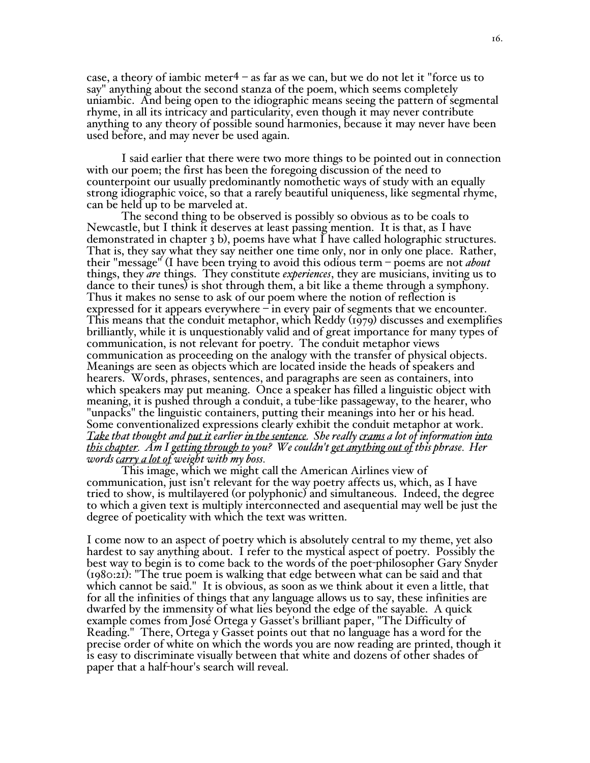case, a theory of iambic meter  $4 -$  as far as we can, but we do not let it "force us to say" anything about the second stanza of the poem, which seems completely uniambic. And being open to the idiographic means seeing the pattern of segmental rhyme, in all its intricacy and particularity, even though it may never contribute anything to any theory of possible sound harmonies, because it may never have been used before, and may never be used again.

I said earlier that there were two more things to be pointed out in connection with our poem; the first has been the foregoing discussion of the need to counterpoint our usually predominantly nomothetic ways of study with an equally strong idiographic voice, so that a rarely beautiful uniqueness, like segmental rhyme, can be held up to be marveled at.

The second thing to be observed is possibly so obvious as to be coals to Newcastle, but I think it deserves at least passing mention. It is that, as I have demonstrated in chapter 3 b), poems have what I have called holographic structures. That is, they say what they say neither one time only, nor in only one place. Rather, their "message" (I have been trying to avoid this odious term – poems are not *about* things, they *are* things. They constitute *experiences*, they are musicians, inviting us to dance to their tunes) is shot through them, a bit like a theme through a symphony.<br>Thus it makes no sense to ask of our poem where the notion of reflection is expressed for it appears everywhere  $-$  in every pair of segme This means that the conduit metaphor, which Reddy  $(1979)$  discusses and exemplifies brilliantly, while it is unquestionably valid and of great importance for many types of communication, is not relevant for poetry. The conduit metaphor views Meanings are seen as objects which are located inside the heads of speakers and hearers. Words, phrases, sentences, and paragraphs are seen as containers, into which speakers may put meaning. Once a speaker has filled a linguistic object with meaning, it is pushed through a conduit, a tube-like passageway, to the hearer, who "unpacks" the linguistic containers, putting their meanings into her or his head. Some conventionalized expressions clearly exhibit the conduit metaphor at work. *Take that thought and put it earlier in the sentence. She really crams a lot of information into this chapter. Am I getting through to you? We couldn't get anything out of this phrase. Her words carry a lot of weight with my boss.*

This image, which we might call the American Airlines view of communication, just isn't relevant for the way poetry affects us, which, as I have tried to show, is multilayered (or polyphonic) and simultaneous. Indeed, the degree to which a given text is multiply interconnected and asequential may well be just the degree of poeticality with which the text was written.

I come now to an aspect of poetry which is absolutely central to my theme, yet also hardest to say anything about. I refer to the mystical aspect of poetry. Possibly the best way to begin is to come back to the words of the poet-philosopher Gary Snyder (1980:21): "The true poem is walking that edge between what can be said and that which cannot be said." It is obvious, as soon as we think about it even a little, that for all the infinities of things that any language allows us to say, these infinities are dwarfed by the immensity of what lies beyond the edge of the sayable. A quick example comes from José Ortega y Gasset's brilliant paper, "The Difficulty of Reading." There, Ortega y Gasset points out that no language has a word for the precise order of white on which the words you are now reading are printed, though it is easy to discriminate visually between that white and dozens of other shades of paper that a half-hour's search will reveal.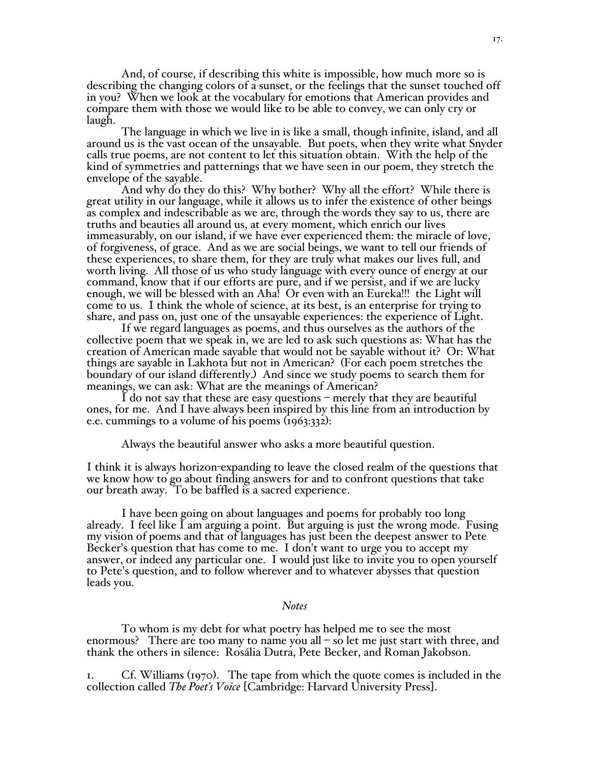And, of course, if describing this white is impossible, how much more so is describing the changing colors of a sunset, or the feelings that the sunset touched off in you? When we look at the vocabulary for emotions that American provides and compare them with those we would like to be able to convey, we can only cry or laugh.

The language in which we live in is like a small, though infinite, island, and all around us is the vast ocean of the unsayable. But poets, when they write what Snyder calls true poems, are not content to let this situation obtain. With the help of the kind of symmetries and patternings that we have seen in our poem, they stretch the envelope of the sayable.

And why do they do this? Why bother? Why all the effort? While there is great utility in our language, while it allows us to infer the existence of other beings as complex and indescribable as we are, through the words they say to us, there are truths and beauties all around us, at every moment, which enrich our lives immeasurably, on our island, if we have ever experienced them: the miracle of love, of forgiveness, of grace. And as we are social beings, we want to tell our friends of these experiences, to share them, for they are truly what makes our lives full, and worth living. All those of us who study language with every ounce of energy at our command, know that if our efforts are pure, and if we persist, and if we are lucky enough, we will be blessed with an Aha! Or even with an Eureka!!! the Light will come to us. I think the whole of science, at its best, is an enterprise for trying to share, and pass on, just one of the unsayable experiences: the experience of Light.

If we regard languages as poems, and thus ourselves as the authors of the collective poem that we speak in, we are led to ask such questions as: What has the creation of American made sayable that would not be sayable without it? Or: What things are sayable in Lakhota but not in American? (For each poem stretches the boundary of our island differently.) And since we study poems to search them for meanings, we can ask: What are the meanings of American?

I do not say that these are easy questions – merely that they are beautiful ones, for me. And I have always been inspired by this line from an introduction by e.e. cummings to a volume of his poems (1963:332):

Always the beautiful answer who asks a more beautiful question.

I think it is always horizon-expanding to leave the closed realm of the questions that we know how to go about finding answers for and to confront questions that take our breath away. To be baffled is a sacred experience.

I have been going on about languages and poems for probably too long already. I feel like I am arguing a point. But arguing is just the wrong mode. Fusing my vision of poems and that of languages has just been the deepest answer to Pete Becker's question that has come to me. I don't want to urge you to accept my answer, or indeed any particular one. I would just like to invite you to open yourself to Pete's question, and to follow wherever and to whatever abysses that question leads you.

### *Notes*

To whom is my debt for what poetry has helped me to see the most enormous? There are too many to name you all – so let me just start with three, and thank the others in silence: Rosália Dutra, Pete Becker, and Roman Jakobson.

1. Cf. Williams (1970). The tape from which the quote comes is included in the collection called *The Poet's Voice* [Cambridge: Harvard University Press].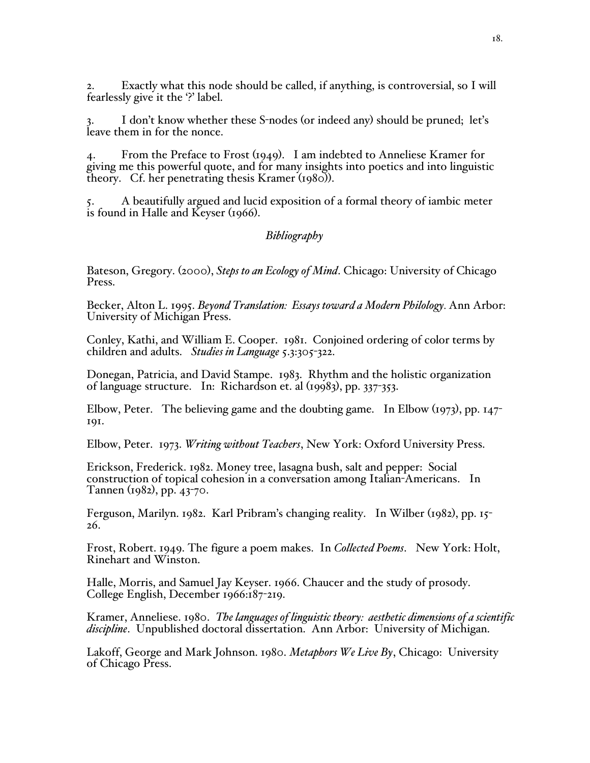2. Exactly what this node should be called, if anything, is controversial, so I will fearlessly give it the '?' label.

I don't know whether these S-nodes (or indeed any) should be pruned; let's leave them in for the nonce.

4. From the Preface to Frost (1949). I am indebted to Anneliese Kramer for giving me this powerful quote, and for many insights into poetics and into linguistic theory. Cf. her penetrating thesis Kramer (1980)).

5. A beautifully argued and lucid exposition of a formal theory of iambic meter is found in Halle and Keyser (1966).

# *Bibliography*

Bateson, Gregory. (2000), *Steps to an Ecology of Mind*. Chicago: University of Chicago Press.

Becker, Alton L. 1995. *Beyond Translation: Essays toward a Modern Philology.* Ann Arbor: University of Michigan Press.

Conley, Kathi, and William E. Cooper. 1981. Conjoined ordering of color terms by children and adults. *Studies in Language* 5.3:305-322.

Donegan, Patricia, and David Stampe. 1983. Rhythm and the holistic organization of language structure. In: Richardson et. al (19983), pp. 337-353.

Elbow, Peter. The believing game and the doubting game. In Elbow (1973), pp. 147- 191.

Elbow, Peter. 1973. *Writing without Teachers*, New York: Oxford University Press.

Erickson, Frederick. 1982. Money tree, lasagna bush, salt and pepper: Social construction of topical cohesion in a conversation among Italian-Americans. In Tannen (1982), pp. 43-70.

Ferguson, Marilyn. 1982. Karl Pribram'<sup>s</sup> changing reality. In Wilber (1982), pp. <sup>15</sup>- 26.

Frost, Robert. 1949. The figure <sup>a</sup> poem makes. In *Collected Poems*. New York: Holt, Rinehart and Winston.

Halle, Morris, and Samuel Jay Keyser. 1966. Chaucer and the study of prosody. College English, December 1966:187-219.

Kramer, Anneliese. 1980. *The languages of linguistic theory: aesthetic dimensions of a scientific discipline*. Unpublished doctoral dissertation. Ann Arbor: University of Michigan.

Lakoff, George and Mark Johnson. 1980. *Metaphors We Live By*, Chicago: University of Chicago Press.